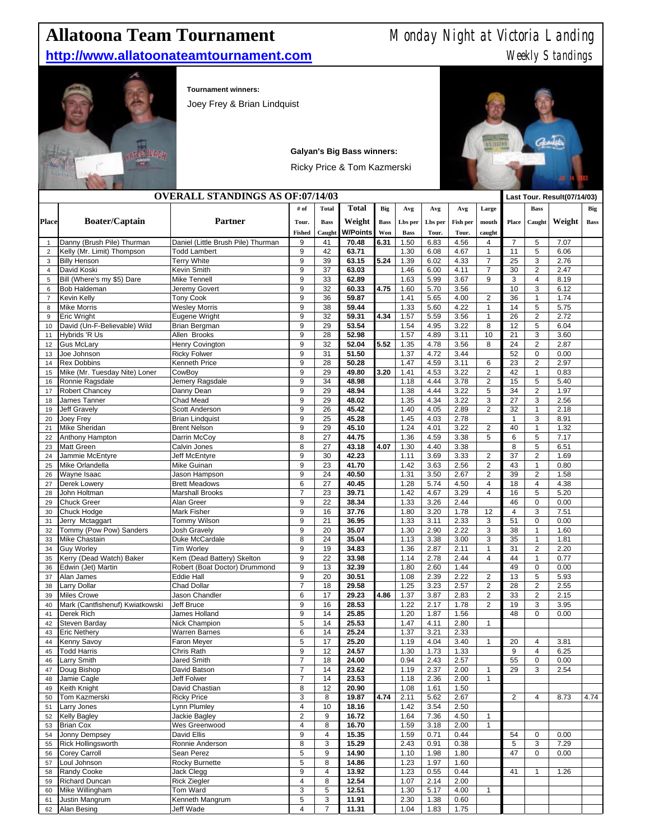## **Allatoona Team Tournament** Monday Night at Victoria Landing

## **http://www.allatoonateamtournament.com** Meekly Standings



**Tournament winners:** 

Joey Frey & Brian Lindquist



|                     |                                           | <b>OVERALL STANDINGS AS OF:07/14/03</b>       |                          |              |                |             |              |              |              |                                         |                    |                                           | Last Tour. Result(07/14/03) |             |
|---------------------|-------------------------------------------|-----------------------------------------------|--------------------------|--------------|----------------|-------------|--------------|--------------|--------------|-----------------------------------------|--------------------|-------------------------------------------|-----------------------------|-------------|
|                     |                                           |                                               | # of                     | <b>Total</b> | <b>Total</b>   | Big         | Avg          | Avg          | Avg          | Large                                   |                    | <b>Bass</b>                               |                             | Big         |
| <b>Place</b>        | <b>Boater/Captain</b>                     | <b>Partner</b>                                | Tour.                    | <b>Bass</b>  | Weight         | <b>Bass</b> | Lbs per      | Lbs per      | Fish per     | mouth                                   | Place              | Caught                                    | Weight                      | <b>Bass</b> |
|                     |                                           |                                               | <b>Fished</b>            | Caugh        | W/Points       | Won         | <b>Bass</b>  | Tour.        | Tour.        | caught                                  |                    |                                           |                             |             |
| 1                   | Danny (Brush Pile) Thurman                | Daniel (Little Brush Pile) Thurman            | 9                        | 41           | 70.48          | 6.31        | 1.50         | 6.83         | 4.56         | 4                                       | $\overline{7}$     | 5                                         | 7.07                        |             |
| $\overline{2}$      | Kelly (Mr. Limit) Thompson                | <b>Todd Lambert</b>                           | 9                        | 42           | 63.71          |             | 1.30         | 6.08         | 4.67         | $\mathbf{1}$                            | 11                 | 5                                         | 6.06                        |             |
| 3                   | <b>Billy Henson</b>                       | <b>Terry White</b>                            | 9                        | 39           | 63.15          | 5.24        | 1.39         | 6.02         | 4.33         | $\overline{7}$                          | 25                 | 3                                         | 2.76                        |             |
| $\overline{4}$<br>5 | David Koski<br>Bill (Where's my \$5) Dare | <b>Kevin Smith</b><br><b>Mike Tennell</b>     | 9<br>9                   | 37<br>33     | 63.03<br>62.89 |             | 1.46<br>1.63 | 6.00<br>5.99 | 4.11<br>3.67 | $\overline{7}$<br>9                     | 30<br>$\mathbf 3$  | $\overline{2}$<br>$\overline{\mathbf{4}}$ | 2.47<br>8.19                |             |
| 6                   | <b>Bob Haldeman</b>                       | Jeremy Govert                                 | 9                        | 32           | 60.33          | 4.75        | 1.60         | 5.70         | 3.56         |                                         | 10                 | 3                                         | 6.12                        |             |
| $\overline{7}$      | Kevin Kelly                               | <b>Tony Cook</b>                              | 9                        | 36           | 59.87          |             | 1.41         | 5.65         | 4.00         | $\overline{2}$                          | 36                 | $\mathbf{1}$                              | 1.74                        |             |
| 8                   | <b>Mike Morris</b>                        | <b>Wesley Morris</b>                          | 9                        | 38           | 59.44          |             | 1.33         | 5.60         | 4.22         | $\mathbf{1}$                            | 14                 | 5                                         | 5.75                        |             |
| 9                   | Eric Wright                               | Eugene Wright                                 | 9                        | 32           | 59.31          | 4.34        | 1.57         | 5.59         | 3.56         | 1                                       | 26                 | $\mathbf 2$                               | 2.72                        |             |
| 10                  | David (Un-F-Believable) Wild              | Brian Bergman                                 | 9                        | 29           | 53.54          |             | 1.54         | 4.95         | 3.22         | 8                                       | 12                 | 5                                         | 6.04                        |             |
| 11                  | Hybrids 'R Us                             | Allen Brooks                                  | 9                        | 28           | 52.98          |             | 1.57         | 4.89         | 3.11         | 10                                      | 21                 | 3                                         | 3.60                        |             |
| 12                  | <b>Gus McLary</b>                         | Henry Covington                               | 9                        | 32           | 52.04          | 5.52        | 1.35         | 4.78         | 3.56         | 8                                       | 24                 | $\overline{2}$                            | 2.87                        |             |
| 13                  | Joe Johnson                               | <b>Ricky Folwer</b>                           | 9                        | 31           | 51.50          |             | 1.37         | 4.72         | 3.44         |                                         | 52                 | $\mathbf 0$                               | 0.00                        |             |
| 14                  | <b>Rex Dobbins</b>                        | Kenneth Price                                 | 9                        | 28           | 50.28          |             | 1.47         | 4.59         | 3.11         | 6                                       | 23                 | $\overline{2}$                            | 2.97                        |             |
| 15                  | Mike (Mr. Tuesday Nite) Loner             | CowBoy                                        | 9                        | 29           | 49.80          | 3.20        | 1.41         | 4.53         | 3.22         | $\overline{\mathbf{c}}$                 | 42                 | $\mathbf{1}$                              | 0.83                        |             |
| 16                  | Ronnie Ragsdale                           | Jemery Ragsdale                               | 9                        | 34           | 48.98          |             | 1.18         | 4.44         | 3.78         | $\overline{2}$                          | 15                 | $\sqrt{5}$                                | 5.40                        |             |
| 17                  | <b>Robert Chancey</b>                     | Danny Dean                                    | 9                        | 29           | 48.94          |             | 1.38         | 4.44         | 3.22         | 5                                       | 34                 | $\overline{2}$                            | 1.97                        |             |
| 18                  | James Tanner                              | Chad Mead                                     | 9                        | 29           | 48.02          |             | 1.35         | 4.34         | 3.22         | 3                                       | 27                 | 3                                         | 2.56                        |             |
| 19                  | <b>Jeff Gravely</b><br>Joey Frey          | Scott Anderson                                | 9<br>9                   | 26<br>25     | 45.42<br>45.28 |             | 1.40<br>1.45 | 4.05<br>4.03 | 2.89<br>2.78 | $\overline{c}$                          | 32<br>$\mathbf{1}$ | $\mathbf{1}$<br>3                         | 2.18<br>8.91                |             |
| 20<br>21            | Mike Sheridan                             | <b>Brian Lindquist</b><br><b>Brent Nelson</b> | 9                        | 29           | 45.10          |             | 1.24         | 4.01         | 3.22         | $\overline{\mathbf{c}}$                 | 40                 | $\mathbf{1}$                              | 1.32                        |             |
| 22                  | Anthony Hampton                           | Darrin McCoy                                  | 8                        | 27           | 44.75          |             | 1.36         | 4.59         | 3.38         | 5                                       | 6                  | 5                                         | 7.17                        |             |
| 23                  | <b>Matt Green</b>                         | Calvin Jones                                  | 8                        | 27           | 43.18          | 4.07        | 1.30         | 4.40         | 3.38         |                                         | 8                  | 5                                         | 6.51                        |             |
| 24                  | Jammie McEntyre                           | Jeff McEntyre                                 | 9                        | 30           | 42.23          |             | 1.11         | 3.69         | 3.33         | $\overline{c}$                          | 37                 | $\overline{2}$                            | 1.69                        |             |
| 25                  | Mike Orlandella                           | <b>Mike Guinan</b>                            | 9                        | 23           | 41.70          |             | 1.42         | 3.63         | 2.56         | $\overline{c}$                          | 43                 | $\mathbf{1}$                              | 0.80                        |             |
| 26                  | Wayne Isaac                               | Jason Hampson                                 | 9                        | 24           | 40.50          |             | 1.31         | 3.50         | 2.67         | $\overline{\mathbf{c}}$                 | 39                 | $\overline{2}$                            | 1.58                        |             |
| 27                  | Derek Lowery                              | <b>Brett Meadows</b>                          | 6                        | 27           | 40.45          |             | 1.28         | 5.74         | 4.50         | 4                                       | 18                 | $\overline{\mathbf{4}}$                   | 4.38                        |             |
| 28                  | John Holtman                              | <b>Marshall Brooks</b>                        | $\overline{7}$           | 23           | 39.71          |             | 1.42         | 4.67         | 3.29         | 4                                       | 16                 | 5                                         | 5.20                        |             |
| 29                  | <b>Chuck Greer</b>                        | Alan Greer                                    | 9                        | 22           | 38.34          |             | 1.33         | 3.26         | 2.44         |                                         | 46                 | $\mathsf 0$                               | 0.00                        |             |
| 30                  | Chuck Hodge                               | Mark Fisher                                   | 9                        | 16           | 37.76          |             | 1.80         | 3.20         | 1.78         | 12                                      | $\overline{4}$     | 3                                         | 7.51                        |             |
| 31                  | Jerry Mctaggart                           | Tommy Wilson                                  | 9                        | 21           | 36.95          |             | 1.33         | 3.11         | 2.33         | 3                                       | 51                 | 0                                         | 0.00                        |             |
| 32                  | Tommy (Pow Pow) Sanders                   | <b>Josh Gravely</b>                           | 9                        | 20           | 35.07          |             | 1.30         | 2.90         | 2.22         | 3                                       | 38                 | $\mathbf{1}$                              | 1.60                        |             |
| 33                  | Mike Chastain                             | Duke McCardale                                | 8                        | 24           | 35.04          |             | 1.13         | 3.38         | 3.00         | 3                                       | 35                 | $\mathbf{1}$                              | 1.81                        |             |
| 34                  | <b>Guy Worley</b>                         | Tim Worley                                    | 9                        | 19           | 34.83          |             | 1.36         | 2.87         | 2.11         | $\mathbf{1}$                            | 31                 | $\overline{2}$                            | 2.20                        |             |
| 35                  | Kerry (Dead Watch) Baker                  | Kem (Dead Battery) Skelton                    | 9                        | 22           | 33.98          |             | 1.14         | 2.78         | 2.44         | 4                                       | 44                 | $\mathbf{1}$                              | 0.77                        |             |
| 36                  | Edwin (Jet) Martin                        | Robert (Boat Doctor) Drummond                 | 9                        | 13           | 32.39          |             | 1.80         | 2.60         | 1.44         |                                         | 49                 | $\mathbf 0$                               | 0.00                        |             |
| 37                  | Alan James<br>Larry Dollar                | Eddie Hall<br>Chad Dollar                     | 9<br>$\overline{7}$      | 20<br>18     | 30.51<br>29.58 |             | 1.08<br>1.25 | 2.39<br>3.23 | 2.22<br>2.57 | $\overline{\mathbf{c}}$<br>$\mathbf{2}$ | 13<br>28           | 5<br>$\overline{2}$                       | 5.93<br>2.55                |             |
| 38<br>39            | <b>Miles Crowe</b>                        | Jason Chandler                                | 6                        | 17           | 29.23          | 4.86        | 1.37         | 3.87         | 2.83         | $\overline{\mathbf{c}}$                 | 33                 | $\overline{2}$                            | 2.15                        |             |
| 40                  | Mark (Cantfishenuf) Kwiatkowski           | Jeff Bruce                                    | 9                        | 16           | 28.53          |             | 1.22         | 2.17         | 1.78         | $\overline{2}$                          | 19                 | 3                                         | 3.95                        |             |
| 41                  | Derek Rich                                | James Holland                                 | 9                        | 14           | 25.85          |             | 1.20         | 1.87         | 1.56         |                                         | 48                 | $\mathbf 0$                               | 0.00                        |             |
| 42                  | Steven Barday                             | <b>Nick Champion</b>                          | 5                        | 14           | 25.53          |             | 1.47         | 4.11         | 2.80         | $\mathbf{1}$                            |                    |                                           |                             |             |
| 43                  | <b>Eric Nethery</b>                       | Warren Barnes                                 | 6                        | 14           | 25.24          |             | 1.37         | 3.21         | 2.33         |                                         |                    |                                           |                             |             |
| 44                  | <b>Kenny Savoy</b>                        | <b>Faron Meyer</b>                            | 5                        | 17           | 25.20          |             | 1.19         | 4.04         | 3.40         | $\mathbf{1}$                            | 20                 | $\overline{4}$                            | 3.81                        |             |
| 45                  | <b>Todd Harris</b>                        | Chris Rath                                    | 9                        | 12           | 24.57          |             | 1.30         | 1.73         | 1.33         |                                         | 9                  | $\overline{\mathbf{4}}$                   | 6.25                        |             |
| 46                  | <b>Larry Smith</b>                        | <b>Jared Smith</b>                            | $\overline{7}$           | 18           | 24.00          |             | 0.94         | 2.43         | 2.57         |                                         | 55                 | $\pmb{0}$                                 | 0.00                        |             |
| 47                  | Doug Bishop                               | David Batson                                  | $\overline{\mathcal{I}}$ | 14           | 23.62          |             | 1.19         | 2.37         | 2.00         | $\mathbf{1}$                            | 29                 | 3                                         | 2.54                        |             |
| 48                  | Jamie Cagle                               | Jeff Folwer                                   | $\boldsymbol{7}$         | 14           | 23.53          |             | 1.18         | 2.36         | 2.00         | 1                                       |                    |                                           |                             |             |
| 49                  | Keith Knight                              | David Chastian                                | 8                        | 12           | 20.90          |             | 1.08         | 1.61         | 1.50         |                                         |                    |                                           |                             |             |
| 50                  | Tom Kazmerski                             | <b>Ricky Price</b>                            | 3                        | 8            | 19.87          | 4.74        | 2.11         | 5.62         | 2.67         |                                         | $\overline{c}$     | $\overline{4}$                            | 8.73                        | 4.74        |
| 51                  | Larry Jones                               | Lynn Plumley                                  | $\overline{\mathbf{4}}$  | 10           | 18.16          |             | 1.42         | 3.54         | 2.50         |                                         |                    |                                           |                             |             |
| 52                  | <b>Kelly Bagley</b>                       | Jackie Bagley                                 | $\overline{c}$           | $9\,$        | 16.72          |             | 1.64         | 7.36         | 4.50         | $\mathbf{1}$                            |                    |                                           |                             |             |
| 53                  | <b>Brian Cox</b><br>Jonny Dempsey         | Wes Greenwood<br>David Ellis                  | 4<br>9                   | 8<br>4       | 16.70<br>15.35 |             | 1.59<br>1.59 | 3.18         | 2.00<br>0.44 | $\mathbf{1}$                            | 54                 | $\pmb{0}$                                 | 0.00                        |             |
| 54<br>55            | <b>Rick Hollingsworth</b>                 | Ronnie Anderson                               | 8                        | 3            | 15.29          |             | 2.43         | 0.71<br>0.91 | 0.38         |                                         | $\,$ 5 $\,$        | 3                                         | 7.29                        |             |
| 56                  | <b>Corey Carroll</b>                      | Sean Perez                                    | 5                        | $9\,$        | 14.90          |             | 1.10         | 1.98         | 1.80         |                                         | 47                 | $\mathsf 0$                               | 0.00                        |             |
| 57                  | Loul Johnson                              | Rocky Burnette                                | 5                        | 8            | 14.86          |             | 1.23         | 1.97         | 1.60         |                                         |                    |                                           |                             |             |
| 58                  | Randy Cooke                               | Jack Clegg                                    | 9                        | 4            | 13.92          |             | 1.23         | 0.55         | 0.44         |                                         | 41                 | $\mathbf{1}$                              | 1.26                        |             |
| 59                  | Richard Duncan                            | <b>Rick Ziegler</b>                           | $\overline{\mathbf{4}}$  | 8            | 12.54          |             | 1.07         | 2.14         | 2.00         |                                         |                    |                                           |                             |             |
| 60                  | Mike Willingham                           | Tom Ward                                      | 3                        | 5            | 12.51          |             | 1.30         | 5.17         | 4.00         | $\mathbf{1}$                            |                    |                                           |                             |             |
| 61                  | Justin Mangrum                            | Kenneth Mangrum                               | 5                        | 3            | 11.91          |             | 2.30         | 1.38         | 0.60         |                                         |                    |                                           |                             |             |
| 62                  | Alan Besing                               | Jeff Wade                                     | 4                        | 7            | 11.31          |             | 1.04         | 1.83         | 1.75         |                                         |                    |                                           |                             |             |

**Galyan's Big Bass winners:** Ricky Price & Tom Kazmerski